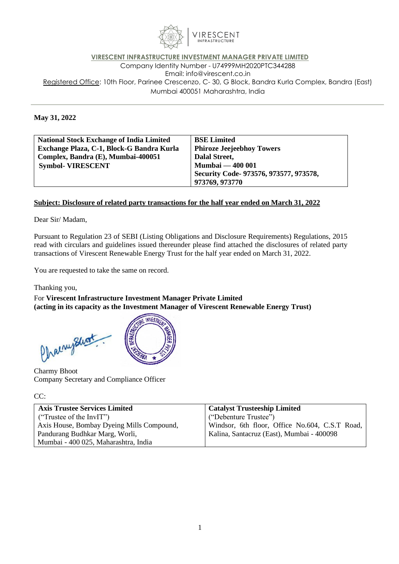

## **VIRESCENT INFRASTRUCTURE INVESTMENT MANAGER PRIVATE LIMITED** Company Identity Number - U74999MH2020PTC344288 Email: [info@virescent.co.in](mailto:info@virescent.co.in) Registered Office: 10th Floor, Parinee Crescenzo, C- 30, G Block, Bandra Kurla Complex, Bandra (East) Mumbai 400051 Maharashtra, India

## **May 31, 2022**

| <b>National Stock Exchange of India Limited</b> | <b>BSE Limited</b>                     |
|-------------------------------------------------|----------------------------------------|
| Exchange Plaza, C-1, Block-G Bandra Kurla       | <b>Phiroze Jeejeebhoy Towers</b>       |
| Complex, Bandra (E), Mumbai-400051              | Dalal Street,                          |
| <b>Symbol- VIRESCENT</b>                        | <b>Mumbai — 400 001</b>                |
|                                                 | Security Code- 973576, 973577, 973578, |
|                                                 | 973769, 973770                         |

## **Subject: Disclosure of related party transactions for the half year ended on March 31, 2022**

Dear Sir/ Madam,

Pursuant to Regulation 23 of SEBI (Listing Obligations and Disclosure Requirements) Regulations, 2015 read with circulars and guidelines issued thereunder please find attached the disclosures of related party transactions of Virescent Renewable Energy Trust for the half year ended on March 31, 2022.

You are requested to take the same on record.

Thanking you,

For **Virescent Infrastructure Investment Manager Private Limited (acting in its capacity as the Investment Manager of Virescent Renewable Energy Trust)**

**INVESTA** Chaenephot

Charmy Bhoot Company Secretary and Compliance Officer

## CC:

| <b>Axis Trustee Services Limited</b>      | <b>Catalyst Trusteeship Limited</b>            |
|-------------------------------------------|------------------------------------------------|
| ("Trustee of the InvIT")                  | ("Debenture Trustee")                          |
| Axis House, Bombay Dyeing Mills Compound, | Windsor, 6th floor, Office No.604, C.S.T Road, |
| Pandurang Budhkar Marg, Worli,            | Kalina, Santacruz (East), Mumbai - 400098      |
| Mumbai - 400 025, Maharashtra, India      |                                                |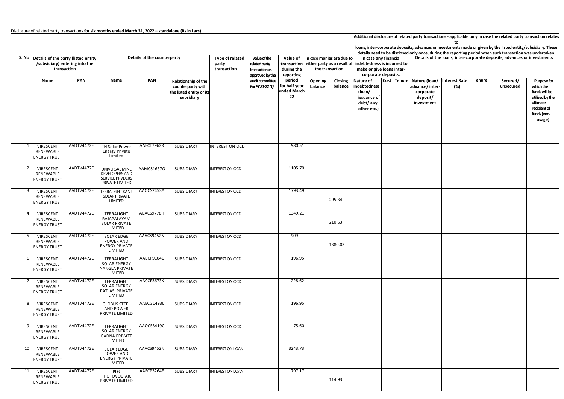|    |                                               |                                                                            |                                                                                      |            |                                                             |                         |                 |                                    |                                                                            |         |                                                                                                           |                                                                                                               | Additional disclosure of related party transactions - applicable only in case the related party transaction relates |                                                              |                      |               |                                                                         |                                                                           |  |  |  |  |  |
|----|-----------------------------------------------|----------------------------------------------------------------------------|--------------------------------------------------------------------------------------|------------|-------------------------------------------------------------|-------------------------|-----------------|------------------------------------|----------------------------------------------------------------------------|---------|-----------------------------------------------------------------------------------------------------------|---------------------------------------------------------------------------------------------------------------|---------------------------------------------------------------------------------------------------------------------|--------------------------------------------------------------|----------------------|---------------|-------------------------------------------------------------------------|---------------------------------------------------------------------------|--|--|--|--|--|
|    |                                               |                                                                            |                                                                                      |            |                                                             |                         |                 |                                    |                                                                            |         |                                                                                                           | loans, inter-corporate deposits, advances or investments made or given by the listed entity/subsidiary. These |                                                                                                                     |                                                              |                      |               |                                                                         |                                                                           |  |  |  |  |  |
|    |                                               |                                                                            |                                                                                      |            |                                                             |                         |                 |                                    |                                                                            |         | details need to be disclosed only once, during the reporting period when such transaction was undertaken. |                                                                                                               |                                                                                                                     |                                                              |                      |               |                                                                         |                                                                           |  |  |  |  |  |
|    |                                               | Details of the counterparty<br>S. No   Details of the party (listed entity |                                                                                      |            |                                                             |                         | Value of the    | Value of                           | In case monies are due to                                                  |         | In case any financial                                                                                     |                                                                                                               |                                                                                                                     |                                                              |                      |               | Details of the loans, inter-corporate deposits, advances or investments |                                                                           |  |  |  |  |  |
|    |                                               | /subsidiary) entering into the                                             |                                                                                      |            |                                                             | party                   | related party   | transaction                        | either party as a result of indebtedness is incurred to<br>the transaction |         |                                                                                                           |                                                                                                               |                                                                                                                     |                                                              |                      |               |                                                                         |                                                                           |  |  |  |  |  |
|    |                                               | transaction                                                                |                                                                                      |            |                                                             | transaction             | transaction as  | during the<br>reporting            |                                                                            |         | make or give loans inter-                                                                                 |                                                                                                               |                                                                                                                     |                                                              |                      |               |                                                                         |                                                                           |  |  |  |  |  |
|    |                                               |                                                                            |                                                                                      |            |                                                             |                         | approved by the |                                    |                                                                            |         | corporate deposits,                                                                                       |                                                                                                               |                                                                                                                     |                                                              |                      |               |                                                                         |                                                                           |  |  |  |  |  |
|    | Name                                          | PAN                                                                        | Name                                                                                 | PAN        | Relationship of the                                         |                         | audit committee | period                             | Opening                                                                    | Closing | Nature of                                                                                                 |                                                                                                               | Cost Tenure                                                                                                         | Nature (loan/                                                | <b>Interest Rate</b> | <b>Tenure</b> | Secured/                                                                | Purpose for                                                               |  |  |  |  |  |
|    |                                               |                                                                            |                                                                                      |            | counterparty with<br>the listed entity or its<br>subsidiary |                         | For FY 21-22(1) | for half year<br>ended March<br>22 | balance                                                                    | balance | indebtedness<br>(loan/<br>issuance of<br>debt/ any<br>other etc.)                                         |                                                                                                               |                                                                                                                     | advance/ inter<br>(%)<br>corporate<br>deposit/<br>investment |                      |               | unsecured                                                               | which the<br>funds will be<br>utilised by the<br>ultimate<br>recipient of |  |  |  |  |  |
|    |                                               |                                                                            |                                                                                      |            |                                                             |                         |                 |                                    |                                                                            |         |                                                                                                           |                                                                                                               |                                                                                                                     |                                                              |                      |               |                                                                         | funds (end-<br>usage)                                                     |  |  |  |  |  |
|    | VIRESCENT<br>RENEWABLE<br><b>ENERGY TRUST</b> | AADTV4472E                                                                 | TN Solar Power<br><b>Energy Private</b><br>Limited                                   | AAECT7962R | SUBSIDIARY                                                  | NTEREST ON OCD          |                 | 980.51                             |                                                                            |         |                                                                                                           |                                                                                                               |                                                                                                                     |                                                              |                      |               |                                                                         |                                                                           |  |  |  |  |  |
|    | VIRESCENT<br>RENEWABLE<br><b>ENERGY TRUST</b> | AADTV4472E                                                                 | UNIVERSAL MINE<br><b>DEVELOPERS AND</b><br><b>SERVICE PRVDERS</b><br>PRIVATE LIMITED | AAMCS1637G | SUBSIDIARY                                                  | <b>INTEREST ON OCD</b>  |                 | 1105.70                            |                                                                            |         |                                                                                                           |                                                                                                               |                                                                                                                     |                                                              |                      |               |                                                                         |                                                                           |  |  |  |  |  |
|    | VIRESCENT<br>RENEWABLE<br><b>ENERGY TRUST</b> | AADTV4472E                                                                 | <b>TERRALIGHT KANJI</b><br>SOLAR PRIVATE<br>LIMITED                                  | AAOCS2453A | SUBSIDIARY                                                  | <b>INTEREST ON OCD</b>  |                 | 1793.49                            |                                                                            | 295.34  |                                                                                                           |                                                                                                               |                                                                                                                     |                                                              |                      |               |                                                                         |                                                                           |  |  |  |  |  |
|    | VIRESCENT<br>RENEWABLE<br><b>ENERGY TRUST</b> | AADTV4472E                                                                 | TERRALIGHT<br>RAJAPALAYAM<br>SOLAR PRIVATE<br>LIMITED                                | ABACS9778H | SUBSIDIARY                                                  | <b>INTEREST ON OCD</b>  |                 | 1349.21                            |                                                                            | 210.63  |                                                                                                           |                                                                                                               |                                                                                                                     |                                                              |                      |               |                                                                         |                                                                           |  |  |  |  |  |
|    | VIRESCENT<br>RENEWABLE<br><b>ENERGY TRUST</b> | AADTV4472E                                                                 | <b>SOLAR EDGE</b><br>POWER AND<br><b>ENERGY PRIVATE</b><br>LIMITED                   | AAVCS9452N | SUBSIDIARY                                                  | <b>INTEREST ON OCD</b>  |                 | 909                                |                                                                            | 1380.03 |                                                                                                           |                                                                                                               |                                                                                                                     |                                                              |                      |               |                                                                         |                                                                           |  |  |  |  |  |
|    | VIRESCENT<br>RENEWABLE<br><b>ENERGY TRUST</b> | AADTV4472E                                                                 | TERRALIGHT<br><b>SOLAR ENERGY</b><br><b>NANGLA PRIVATE</b><br>LIMITED                | AABCF9104E | SUBSIDIARY                                                  | <b>INTEREST ON OCD</b>  |                 | 196.95                             |                                                                            |         |                                                                                                           |                                                                                                               |                                                                                                                     |                                                              |                      |               |                                                                         |                                                                           |  |  |  |  |  |
|    | VIRESCENT<br>RENEWABLE<br><b>ENERGY TRUST</b> | AADTV4472E                                                                 | TERRALIGHT<br><b>SOLAR ENERGY</b><br>PATLASI PRIVATE<br>LIMITED                      | AACCF3673K | SUBSIDIARY                                                  | <b>INTEREST ON OCD</b>  |                 | 228.62                             |                                                                            |         |                                                                                                           |                                                                                                               |                                                                                                                     |                                                              |                      |               |                                                                         |                                                                           |  |  |  |  |  |
|    | VIRESCENT<br>RENEWABLE<br><b>ENERGY TRUST</b> | AADTV4472E                                                                 | <b>GLOBUS STEEL</b><br>AND POWER<br>PRIVATE LIMITED                                  | AAECG1493L | SUBSIDIARY                                                  | <b>INTEREST ON OCD</b>  |                 | 196.95                             |                                                                            |         |                                                                                                           |                                                                                                               |                                                                                                                     |                                                              |                      |               |                                                                         |                                                                           |  |  |  |  |  |
| 9  | VIRESCENT<br>RENEWABLE<br><b>ENERGY TRUST</b> | AADTV4472E                                                                 | TERRALIGHT<br>SOLAR ENERGY<br><b>GADNA PRIVATE</b><br>LIMITED                        | AAOCS3419C | SUBSIDIARY                                                  | INTEREST ON OCD         |                 | 75.60                              |                                                                            |         |                                                                                                           |                                                                                                               |                                                                                                                     |                                                              |                      |               |                                                                         |                                                                           |  |  |  |  |  |
| 10 | VIRESCENT<br>RENEWABLE<br><b>ENERGY TRUST</b> | AADTV4472E                                                                 | <b>SOLAR EDGE</b><br>POWER AND<br><b>ENERGY PRIVATE</b><br>LIMITED                   | AAVCS9452N | SUBSIDIARY                                                  | <b>INTEREST ON LOAN</b> |                 | 3243.73                            |                                                                            |         |                                                                                                           |                                                                                                               |                                                                                                                     |                                                              |                      |               |                                                                         |                                                                           |  |  |  |  |  |
| 11 | VIRESCENT<br>RENEWABLE<br><b>ENERGY TRUST</b> | AADTV4472E                                                                 | PLG<br>PHOTOVOLTAIC<br>PRIVATE LIMITED                                               | AAECP3264E | SUBSIDIARY                                                  | <b>INTEREST ON LOAN</b> |                 | 797.17                             |                                                                            | 114.93  |                                                                                                           |                                                                                                               |                                                                                                                     |                                                              |                      |               |                                                                         |                                                                           |  |  |  |  |  |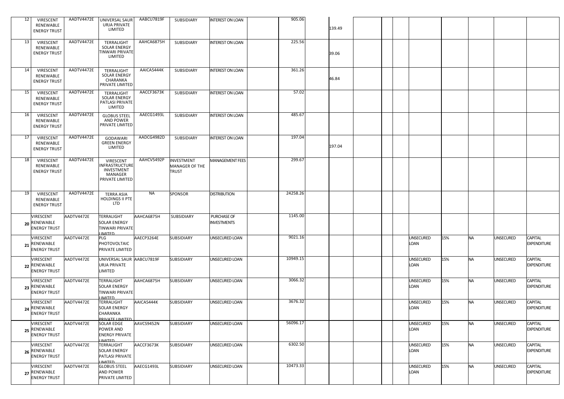| 12 | VIRESCENT                                        | AADTV4472E | <b>UNIVERSAL SAUR</b>                                                        | AABCU7819F | SUBSIDIARY                                   | <b>INTEREST ON LOAN</b>           | 905.06   |        |  |                          |     |           |                  |                                      |
|----|--------------------------------------------------|------------|------------------------------------------------------------------------------|------------|----------------------------------------------|-----------------------------------|----------|--------|--|--------------------------|-----|-----------|------------------|--------------------------------------|
|    | RENEWABLE<br><b>ENERGY TRUST</b>                 |            | URJA PRIVATE<br>LIMITED                                                      |            |                                              |                                   |          | 139.49 |  |                          |     |           |                  |                                      |
| 13 | VIRESCENT<br>RENEWABLE<br><b>ENERGY TRUST</b>    | AADTV4472E | TERRALIGHT<br><b>SOLAR ENERGY</b><br><b>TINWARI PRIVATE</b><br>LIMITED       | AAHCA6875H | SUBSIDIARY                                   | <b>INTEREST ON LOAN</b>           | 225.56   | 39.06  |  |                          |     |           |                  |                                      |
| 14 | VIRESCENT<br>RENEWABLE<br><b>ENERGY TRUST</b>    | AADTV4472E | TERRALIGHT<br><b>SOLAR ENERGY</b><br>CHARANKA<br>PRIVATE LIMITED             | AAICA5444K | SUBSIDIARY                                   | <b>INTEREST ON LOAN</b>           | 361.26   | 46.84  |  |                          |     |           |                  |                                      |
| 15 | VIRESCENT<br>RENEWABLE<br><b>ENERGY TRUST</b>    | AADTV4472E | TERRALIGHT<br><b>SOLAR ENERGY</b><br>PATLASI PRIVATE<br>LIMITED              | AACCF3673K | SUBSIDIARY                                   | <b>INTEREST ON LOAN</b>           | 57.02    |        |  |                          |     |           |                  |                                      |
| 16 | VIRESCENT<br>RENEWABLE<br><b>ENERGY TRUST</b>    | AADTV4472E | <b>GLOBUS STEEL</b><br><b>AND POWER</b><br>PRIVATE LIMITED                   | AAECG1493L | SUBSIDIARY                                   | <b>INTEREST ON LOAN</b>           | 485.67   |        |  |                          |     |           |                  |                                      |
| 17 | VIRESCENT<br>RENEWABLE<br><b>ENERGY TRUST</b>    | AADTV4472E | <b>GODAWARI</b><br><b>GREEN ENERGY</b><br>LIMITED                            | AADCG4982D | SUBSIDIARY                                   | <b>INTEREST ON LOAN</b>           | 197.04   | 197.04 |  |                          |     |           |                  |                                      |
| 18 | VIRESCENT<br>RENEWABLE<br><b>ENERGY TRUST</b>    | AADTV4472E | VIRESCENT<br>NFRASTRUCTURE<br>INVESTMENT<br>MANAGER<br>PRIVATE LIMITED       | AAHCV5492P | INVESTMENT<br>MANAGER OF THE<br><b>TRUST</b> | <b>MANAGEMENT FEES</b>            | 299.67   |        |  |                          |     |           |                  |                                      |
| 19 | VIRESCENT<br>RENEWABLE<br><b>ENERGY TRUST</b>    | AADTV4472E | <b>TERRA ASIA</b><br>HOLDINGS II PTE<br><b>LTD</b>                           | <b>NA</b>  | SPONSOR                                      | <b>DISTRIBUTION</b>               | 24258.26 |        |  |                          |     |           |                  |                                      |
|    | VIRESCENT<br>20 RENEWABLE<br><b>ENERGY TRUST</b> | AADTV4472E | <b>TERRALIGHT</b><br><b>SOLAR ENERGY</b><br>TINWARI PRIVATE<br><b>IMITED</b> | AAHCA6875H | SUBSIDIARY                                   | PURCHASE OF<br><b>INVESTMENTS</b> | 1145.00  |        |  |                          |     |           |                  |                                      |
|    | VIRESCENT<br>21 RENEWABLE<br><b>ENERGY TRUST</b> | AADTV4472E | PLG<br>PHOTOVOLTAIC<br>PRIVATE LIMITED                                       | AAECP3264E | SUBSIDIARY                                   | JNSECURED LOAN                    | 9021.16  |        |  | <b>UNSECURED</b><br>LOAN | 15% | <b>NA</b> | <b>UNSECURED</b> | <b>CAPITAL</b><br><b>EXPENDITURE</b> |
|    | VIRESCENT<br>22 RENEWABLE<br><b>ENERGY TRUST</b> | AADTV4472E | UNIVERSAL SAUR AABCU7819F<br>URJA PRIVATE<br>LIMITED                         |            | SUBSIDIARY                                   | UNSECURED LOAN                    | 10949.15 |        |  | <b>UNSECURED</b><br>LOAN | 15% | <b>NA</b> | <b>UNSECURED</b> | CAPITAL<br><b>EXPENDITURE</b>        |
|    | VIRESCENT<br>23 RENEWABLE<br><b>ENERGY TRUST</b> | AADTV4472E | <b>TERRALIGHT</b><br>SOLAR ENERGY<br><b>TINWARI PRIVATE</b><br><b>IMITED</b> | AAHCA6875H | SUBSIDIARY                                   | UNSECURED LOAN                    | 3066.32  |        |  | <b>UNSECURED</b><br>Loan | 15% | <b>NA</b> | <b>UNSECURED</b> | CAPITAL<br><b>EXPENDITURE</b>        |
|    | VIRESCENT<br>24 RENEWABLE<br><b>ENERGY TRUST</b> | AADTV4472E | TERRALIGHT<br><b>SOLAR ENERGY</b><br>CHARANKA<br>PRIVATE LIMITED             | AAICA5444K | SUBSIDIARY                                   | UNSECURED LOAN                    | 3676.32  |        |  | UNSECURED<br>Loan        | 15% | <b>NA</b> | <b>UNSECURED</b> | <b>CAPITAL</b><br><b>EXPENDITURE</b> |
|    | VIRESCENT<br>25 RENEWABLE<br><b>ENERGY TRUST</b> | AADTV4472E | <b>SOLAR EDGE</b><br>POWER AND<br><b>ENERGY PRIVATE</b><br><b>IMITED</b>     | AAVCS9452N | SUBSIDIARY                                   | UNSECURED LOAN                    | 56096.17 |        |  | UNSECURED<br>LOAN        | 15% | <b>NA</b> | <b>UNSECURED</b> | CAPITAL<br><b>EXPENDITURE</b>        |
|    | VIRESCENT<br>26 RENEWABLE<br><b>ENERGY TRUST</b> | AADTV4472E | TERRALIGHT<br><b>SOLAR ENERGY</b><br>PATLASI PRIVATE<br><b>IMITED</b>        | AACCF3673K | SUBSIDIARY                                   | UNSECURED LOAN                    | 6302.50  |        |  | <b>UNSECURED</b><br>LOAN | 15% | <b>NA</b> | <b>UNSECURED</b> | CAPITAL<br><b>EXPENDITURE</b>        |
|    | VIRESCENT<br>27 RENEWABLE<br><b>ENERGY TRUST</b> | AADTV4472E | <b>GLOBUS STEEL</b><br><b>AND POWER</b><br>PRIVATE LIMITED                   | AAECG1493L | SUBSIDIARY                                   | UNSECURED LOAN                    | 10473.33 |        |  | <b>UNSECURED</b><br>LOAN | 15% | <b>NA</b> | <b>UNSECURED</b> | CAPITAL<br><b>EXPENDITURE</b>        |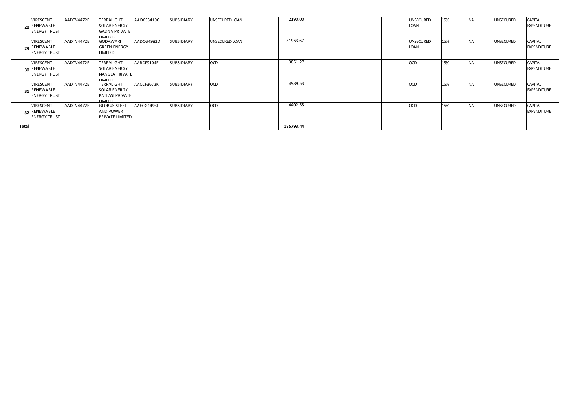|       | <b>VIRESCENT</b><br>28 RENEWABLE<br><b>ENERGY TRUST</b> | AADTV4472E | TERRALIGHT<br><b>SOLAR ENERGY</b><br><b>GADNA PRIVATE</b><br><b>I IMITED</b>        | AAOCS3419C | <b>SUBSIDIARY</b> | <b>UNSECURED LOAN</b> | 2190.00   |  |  | <b>UNSECURED</b><br>LOAN | 15% | <b>NA</b> | <b>UNSECURED</b> | <b>CAPITAL</b><br><b>EXPENDITURE</b> |
|-------|---------------------------------------------------------|------------|-------------------------------------------------------------------------------------|------------|-------------------|-----------------------|-----------|--|--|--------------------------|-----|-----------|------------------|--------------------------------------|
|       | <b>VIRESCENT</b><br>29 RENEWABLE<br><b>ENERGY TRUST</b> | AADTV4472E | <b>GODAWARI</b><br><b>GREEN ENERGY</b><br>LIMITED                                   | AADCG4982D | SUBSIDIARY        | UNSECURED LOAN        | 31963.67  |  |  | <b>UNSECURED</b><br>LOAN | 15% | <b>NA</b> | <b>UNSECURED</b> | <b>CAPITAL</b><br><b>EXPENDITURE</b> |
|       | <b>VIRESCENT</b><br>30 RENEWABLE<br><b>ENERGY TRUST</b> | AADTV4472E | <b>TERRALIGHT</b><br><b>SOLAR ENERGY</b><br><b>NANGLA PRIVATE</b><br><b>IIMITED</b> | AABCF9104E | <b>SUBSIDIARY</b> | <b>OCD</b>            | 3851.27   |  |  | <b>OCD</b>               | 15% | <b>NA</b> | <b>UNSECURED</b> | <b>CAPITAL</b><br><b>EXPENDITURE</b> |
|       | <b>VIRESCENT</b><br>31 RENEWABLE<br><b>ENERGY TRUST</b> | AADTV4472E | <b>TERRALIGHT</b><br><b>SOLAR ENERGY</b><br><b>PATLASI PRIVATE</b><br><b>IMITED</b> | AACCF3673K | SUBSIDIARY        | OCD                   | 4989.53   |  |  | <b>OCD</b>               | 15% | <b>NA</b> | <b>UNSECURED</b> | <b>CAPITAL</b><br><b>EXPENDITURE</b> |
|       | <b>VIRESCENT</b><br>32 RENEWABLE<br><b>ENERGY TRUST</b> | AADTV4472E | <b>GLOBUS STEEL</b><br><b>AND POWER</b><br><b>PRIVATE LIMITED</b>                   | AAECG1493L | <b>SUBSIDIARY</b> | <b>OCD</b>            | 4402.55   |  |  | <b>OCD</b>               | 15% | <b>NA</b> | <b>UNSECURED</b> | <b>CAPITAL</b><br><b>EXPENDITURE</b> |
| Total |                                                         |            |                                                                                     |            |                   |                       | 185793.44 |  |  |                          |     |           |                  |                                      |